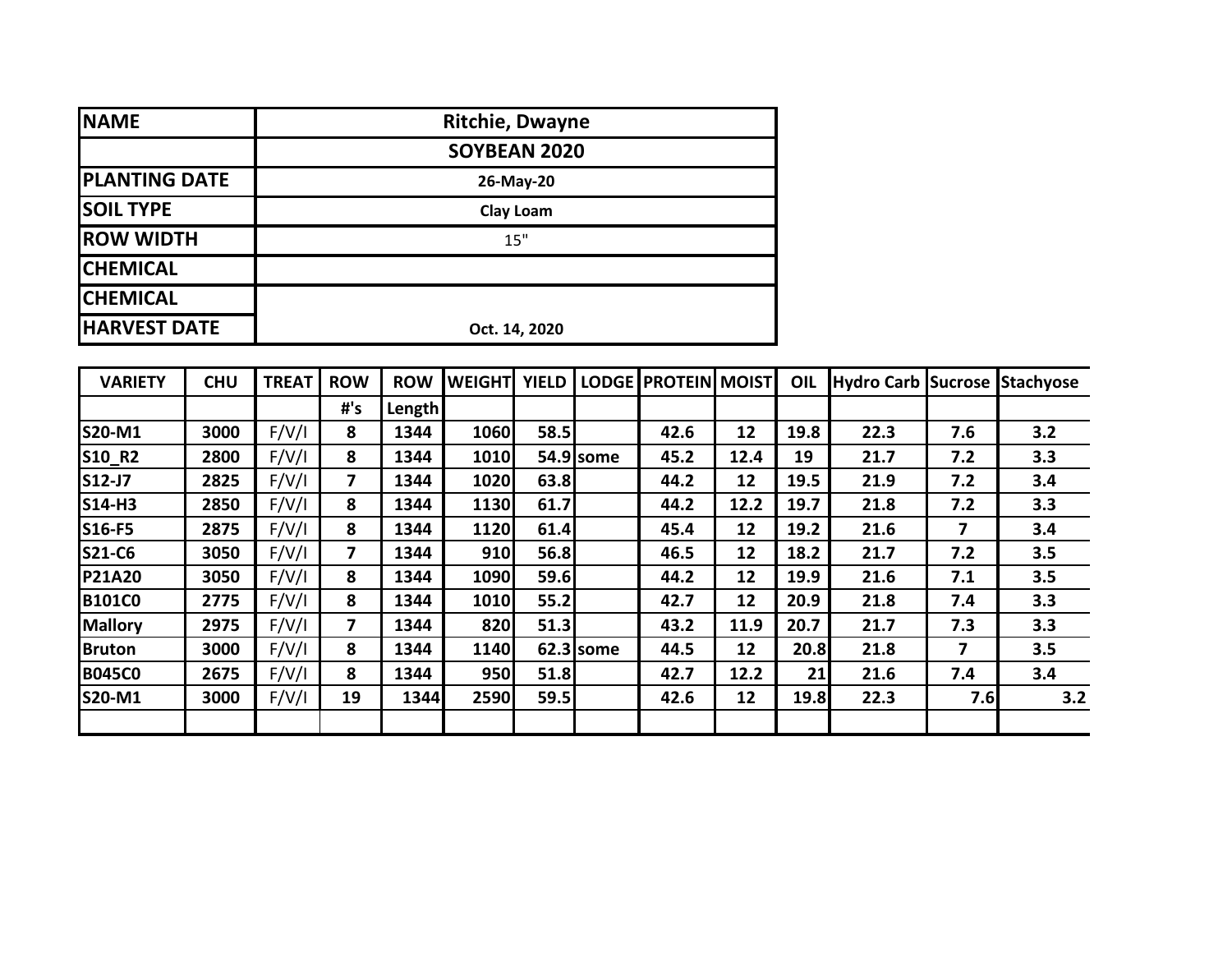| <b>NAME</b>          | <b>Ritchie, Dwayne</b> |
|----------------------|------------------------|
|                      | SOYBEAN 2020           |
| <b>PLANTING DATE</b> | 26-May-20              |
| <b>SOIL TYPE</b>     | <b>Clay Loam</b>       |
| <b>ROW WIDTH</b>     | 15"                    |
| <b>CHEMICAL</b>      |                        |
| <b>CHEMICAL</b>      |                        |
| <b>HARVEST DATE</b>  | Oct. 14, 2020          |

| <b>VARIETY</b> | <b>CHU</b> | <b>TREAT</b> | <b>ROW</b>              | <b>ROW</b> | <b>WEIGHT</b> | <b>YIELD</b> |             | LODGE PROTEIN MOIST |      | OIL  | Hydro Carb Sucrose Stachyose |     |     |
|----------------|------------|--------------|-------------------------|------------|---------------|--------------|-------------|---------------------|------|------|------------------------------|-----|-----|
|                |            |              | #'s                     | Length     |               |              |             |                     |      |      |                              |     |     |
| <b>S20-M1</b>  | 3000       | F/V/I        | 8                       | 1344       | 1060          | 58.5         |             | 42.6                | 12   | 19.8 | 22.3                         | 7.6 | 3.2 |
| S10_R2         | 2800       | F/V/I        | 8                       | 1344       | 1010          |              | 54.9 some   | 45.2                | 12.4 | 19   | 21.7                         | 7.2 | 3.3 |
| S12-J7         | 2825       | F/V/I        | $\overline{\mathbf{z}}$ | 1344       | 1020          | 63.8         |             | 44.2                | 12   | 19.5 | 21.9                         | 7.2 | 3.4 |
| <b>S14-H3</b>  | 2850       | F/V/I        | 8                       | 1344       | 1130          | 61.7         |             | 44.2                | 12.2 | 19.7 | 21.8                         | 7.2 | 3.3 |
| S16-F5         | 2875       | F/V/I        | 8                       | 1344       | 1120          | 61.4         |             | 45.4                | 12   | 19.2 | 21.6                         | 7   | 3.4 |
| <b>S21-C6</b>  | 3050       | F/V/I        | 7                       | 1344       | 910           | 56.8         |             | 46.5                | 12   | 18.2 | 21.7                         | 7.2 | 3.5 |
| <b>P21A20</b>  | 3050       | F/V/I        | 8                       | 1344       | 1090          | 59.6         |             | 44.2                | 12   | 19.9 | 21.6                         | 7.1 | 3.5 |
| <b>B101C0</b>  | 2775       | F/V/I        | 8                       | 1344       | 1010          | 55.2         |             | 42.7                | 12   | 20.9 | 21.8                         | 7.4 | 3.3 |
| <b>Mallory</b> | 2975       | F/V/I        | 7                       | 1344       | 820           | 51.3         |             | 43.2                | 11.9 | 20.7 | 21.7                         | 7.3 | 3.3 |
| <b>Bruton</b>  | 3000       | F/V/I        | 8                       | 1344       | 1140          |              | $62.3$ some | 44.5                | 12   | 20.8 | 21.8                         | 7   | 3.5 |
| <b>B045C0</b>  | 2675       | F/V/I        | 8                       | 1344       | 950l          | 51.8         |             | 42.7                | 12.2 | 21   | 21.6                         | 7.4 | 3.4 |
| S20-M1         | 3000       | F/V/I        | 19                      | 1344       | 2590          | 59.5         |             | 42.6                | 12   | 19.8 | 22.3                         | 7.6 | 3.2 |
|                |            |              |                         |            |               |              |             |                     |      |      |                              |     |     |